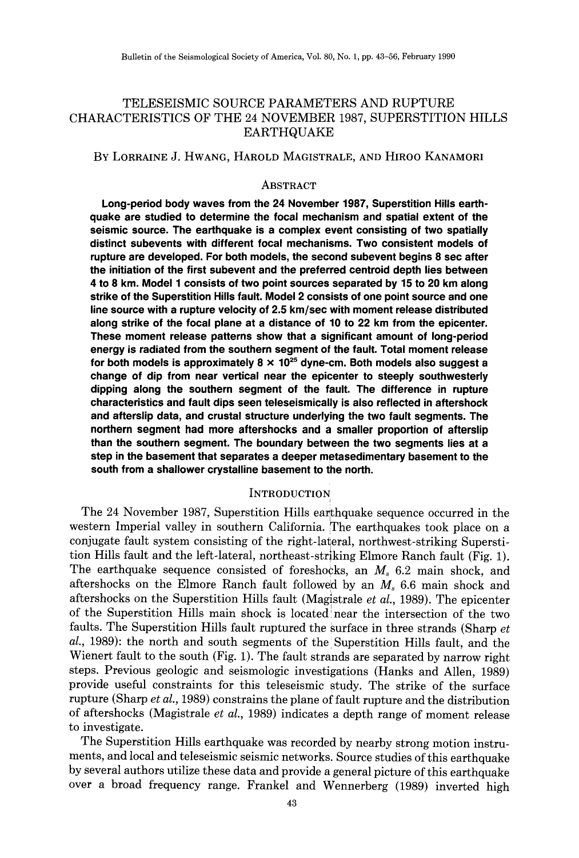## TELESEISMIC SOURCE PARAMETERS AND RUPTURE CHARACTERISTICS OF THE 24 NOVEMBER 1987, SUPERSTITION HILLS EARTHQUAKE

### BY LORRAINE J. HWANG, HAROLD MAGISTRALE, AND HIROO KANAMORI

### ABSTRACT

**Long-period body waves from the 24 November 1987, Superstition Hills earthquake are studied to determine the focal mechanism and spatial extent of the seismic source. The earthquake is a complex event consisting of two spatially distinct subevents with different focal mechanisms. Two consistent models of rupture are developed. For both models, the second subevent begins 8 sec after the initiation of the first subevent and the preferred centroid depth lies between 4 to 8 km. Model1 consists of two point sources separated by 15 to 20 km along strike of the Superstition Hills fault. Model 2 consists of one point source and one line source with a rupture velocity of 2.5 km/sec with moment release distributed along strike of the focal plane at a distance of 10 to 22 km from the epicenter. These moment release patterns show that a significant amount of long-period energy is radiated from the southern segment of the fault. Total moment release for both models is approximately 8 x 10<sup>25</sup>dyne-em. Both models also suggest a change of dip from near vertical near the epicenter to steeply southwesterly dipping along the southern segment of the fault. The difference in rupture characteristics and fault dips seen teleseismically is also reflected in aftershock and afterslip data, and crustal structure underlying the two fault segments. The northern segment had more aftershocks and a smaller proportion of afterslip than the southern segment. The boundary between the two segments lies at a step in the basement that separates a deeper metasedimentary basement to the south from a shallower crystalline basement to the north.** 

### **INTRODUCTION**

The 24 November 1987, Superstition Hills earthquake sequence occurred in the western Imperial valley in southern California. The earthquakes took place on a conjugate fault system consisting of the right-lateral, northwest-striking Superstition Hills fault and the left-lateral, northeast-striking Elmore Ranch fault (Fig. 1). The earthquake sequence consisted of foreshocks, an *Ms* 6.2 main shock, and aftershocks on the Elmore Ranch fault followed by an *Ms* 6.6 main shock and aftershocks on the Superstition Hills fault (Magistrale *et al.*, 1989). The epicenter of the Superstition Hills main shock is located' near the intersection of the two faults. The Superstition Hills fault ruptured the surface in three strands (Sharp *et al.,* 1989): the north and south segments of the. Superstition Hills fault, and the Wienert fault to the south (Fig. 1). The fault strands are separated by narrow right steps. Previous geologic and seismologic investigations (Hanks and Allen, 1989) provide useful constraints for this teleseismic study. The strike of the surface rupture (Sharp *et al.,* 1989) constrains the plane of fault rupture and the distribution of aftershocks (Magistrale *et al.,* 1989) indicates a depth range of moment release to investigate.

The Superstition Hills earthquake was recorded by nearby strong motion instruments, and local and teleseismic seismic networks. Source studies of this earthquake by several authors utilize these data and provide a general picture of this earthquake over a broad frequency range. Frankel and Wennerberg (1989) inverted high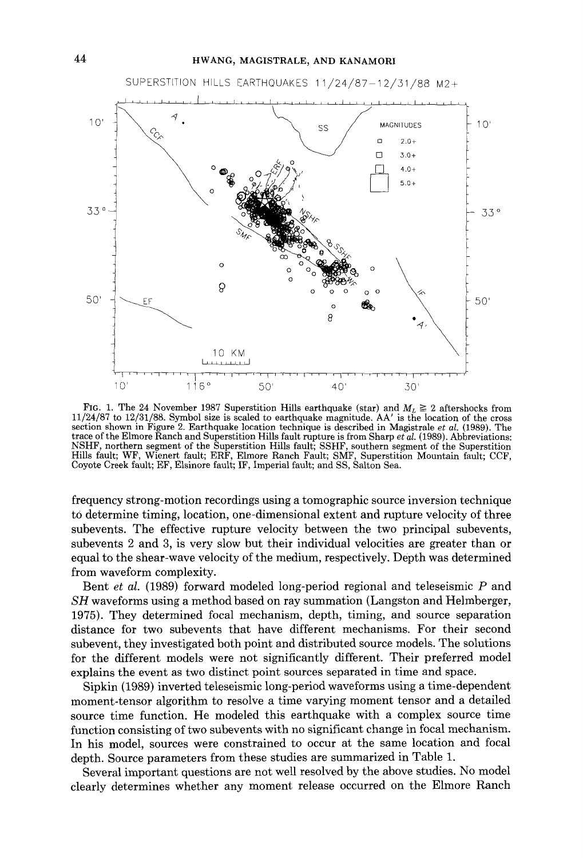

FIG. 1. The 24 November 1987 Superstition Hills earthquake (star) and  $M_L \geq 2$  aftershocks from 11/24/87 to 12/31/88. Symbol size is scaled to earthquake magnitude. AA' is the location of the cross section shown in Figure 2. Earthquake location technique is described in Magistrale *et al.* (1989). The trace of the Elmore Ranch and Superstition Hills fault rupture is from Sharp *et al.* (1989). Abbreviations:<br>NSHF, northern segment of the Superstition Hills fault; SSHF, southern segment of the Superstition Hills fault; WF, Wienert fault; ERF, Elmore Ranch Fault; SMF, Superstition Mountain fault; CCF, Coyote Creek fault; EF, Elsinore fault; IF, Imperial fault; and SS, Salton Sea.

frequency strong-motion recordings using a tomographic source inversion technique to determine timing, location, one-dimensional extent and rupture velocity of three subevents. The effective rupture velocity between the two principal subevents, subevents 2 and 3, is very slow but their individual velocities are greater than or equal to the shear-wave velocity of the medium, respectively. Depth was determined from waveform complexity.

Bent *et al.* (1989) forward modeled long-period regional and teleseismic *P* and *SH* waveforms using a method based on ray summation (Langston and Heimberger, 1975). They determined focal mechanism, depth, timing, and source separation distance for two subevents that have different mechanisms. For their second subevent, they investigated both point and distributed source models. The solutions for the different models were not significantly different. Their preferred model explains the event as two distinct point sources separated in time and space.

Sipkin (1989) inverted teleseismic long-period waveforms using a time-dependent moment-tensor algorithm to resolve a time varying moment tensor and a detailed source time function. He modeled this earthquake with a complex source time function consisting of two subevents with no significant change in focal mechanism. In his model, sources were constrained to occur at the same location and focal depth. Source parameters from these studies are summarized in Table 1.

Several important questions are not well resolved by the above studies. No model clearly determines whether any moment release occurred on the Elmore Ranch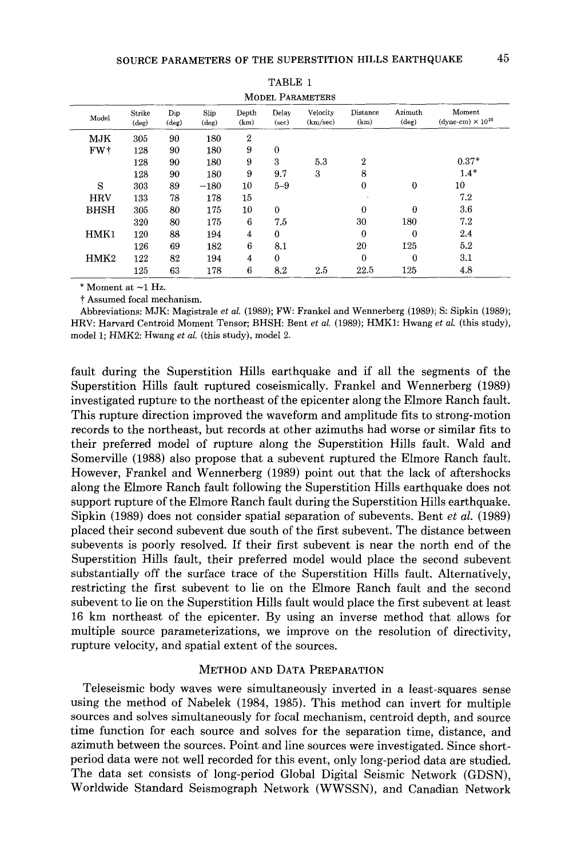| Model           | Strike<br>$(\text{deg})$ | Dip<br>(deg) | Slip<br>(deg) | Depth<br>(km) | Delay<br>(sec) | Velocity<br>(km/sec) | Distance<br>(km) | Azimuth<br>$(\deg)$ | Moment<br>(dyne-cm) $\times 10^{25}$ |
|-----------------|--------------------------|--------------|---------------|---------------|----------------|----------------------|------------------|---------------------|--------------------------------------|
|                 |                          |              |               |               |                |                      |                  |                     |                                      |
| MJK             | 305                      | 90           | 180           | 2             |                |                      |                  |                     |                                      |
| FW <sup>+</sup> | 128                      | 90           | 180           | 9             | $\Omega$       |                      |                  |                     |                                      |
|                 | 128                      | 90           | 180           | 9             | 3              | 5.3                  | $\boldsymbol{2}$ |                     | $0.37*$                              |
|                 | 128                      | 90           | 180           | 9             | 9.7            | 3                    | 8                |                     | $1.4*$                               |
| S               | 303                      | 89           | $-180$        | 10            | $5 - 9$        |                      | $\bf{0}$         | 0                   | 10                                   |
| <b>HRV</b>      | 133                      | 78           | 178           | 15            |                |                      |                  |                     | 7.2                                  |
| <b>BHSH</b>     | 305                      | 80           | 175           | 10            | 0              |                      | $\Omega$         | $\overline{0}$      | 3.6                                  |
|                 | 320                      | 80           | 175           | 6             | 7.5            |                      | 30               | 180                 | 7.2                                  |
| HMK1            | 120                      | 88           | 194           | 4             | $\bf{0}$       |                      | $\theta$         | $\bf{0}$            | 2.4                                  |
|                 | 126                      | 69           | 182           | 6             | 8.1            |                      | 20               | 125                 | $5.2\,$                              |
| HMK2            | 122                      | 82           | 194           | 4             | $\theta$       |                      | $\theta$         | 0                   | 3.1                                  |
|                 | 125                      | 63           | 178           | 6             | 8.2            | 2.5                  | 22.5             | 125                 | 4.8                                  |

TABLE 1

 $*$  Moment at  $\sim$ 1 Hz.

t Assumed focal mechanism.

Abbreviations: MJK: Magistrale *et al.* (1989); FW: Frankel and Wennerberg (1989); S: Sipkin (1989); HRV: Harvard Centroid Moment Tensor; BHSH: Bent *et al.* (1989); HMK1: Hwang *et al.* (this study), model 1; HMK2: Hwang et al. (this study), model 2.

fault during the Superstition Hills earthquake and if all the segments of the Superstition Hills fault ruptured coseismically. Frankel and Wennerberg (1989) investigated rupture to the northeast of the epicenter along the Elmore Ranch fault. This rupture direction improved the waveform and amplitude fits to strong-motion records to the northeast, but records at other azimuths had worse or similar fits to their preferred model of rupture along the Superstition Hills fault. W ald and Somerville (1988) also propose that a subevent ruptured the Elmore Ranch fault. However, Frankel and Wennerberg (1989) point out that the lack of aftershocks along the Elmore Ranch fault following the Superstition Hills earthquake does not support rupture of the Elmore Ranch fault during the Superstition Hills earthquake. Sipkin (1989) does not consider spatial separation of subevents. Bent *et al.* (1989) placed their second subevent due south of the first subevent. The distance between subevents is poorly resolved. If their first subevent is near the north end of the Superstition Hills fault, their preferred model would place the second subevent substantially off the surface trace of the Superstition Hills fault. Alternatively, restricting the first subevent to lie on the Elmore Ranch fault and the second subevent to lie on the Superstition Hills fault would place the first subevent at least 16 km northeast of the epicenter. By using an inverse method that allows for multiple source parameterizations, we improve on the resolution of directivity, rupture velocity, and spatial extent of the sources.

### METHOD AND DATA PREPARATION

Teleseismic body waves were simultaneously inverted in a least-squares sense using the method of Nabelek (1984, 1985). This method can invert for multiple sources and solves simultaneously for focal mechanism, centroid depth, and source time function for each source and solves for the separation time, distance, and azimuth between the sources. Point and line sources were investigated. Since shortperiod data were not well recorded for this event, only long-period data are studied. The data set consists of long-period Global Digital Seismic Network (GDSN), Worldwide Standard Seismograph Network (WWSSN), and Canadian Network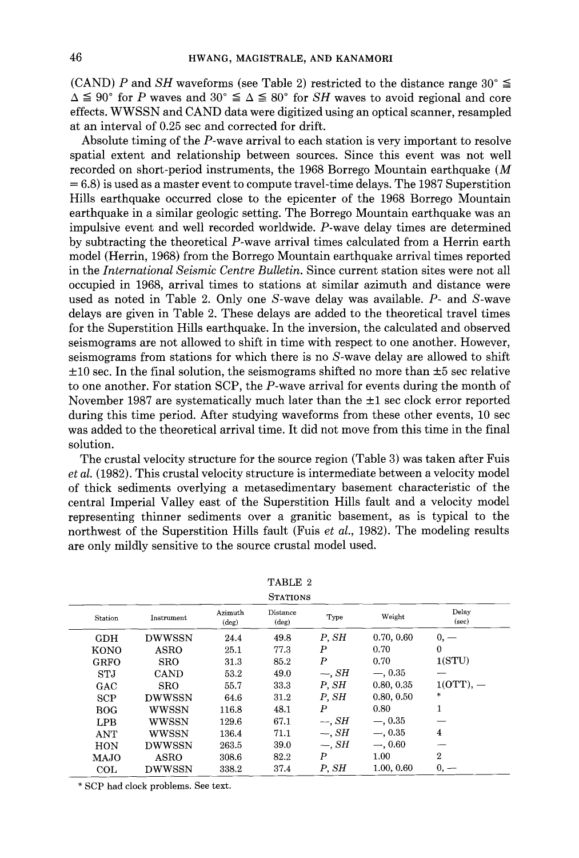(CAND) P and *SH* waveforms (see Table 2) restricted to the distance range  $30^{\circ} \le$  $\Delta \leq 90^{\circ}$  for *P* waves and  $30^{\circ} \leq \Delta \leq 80^{\circ}$  for *SH* waves to avoid regional and core effects. WWSSN and CAND data were digitized using an optical scanner, resampled at an interval of 0.25 sec and corrected for drift.

Absolute timing of the P-wave arrival to each station is very important to resolve spatial extent and relationship between sources. Since this event was not well recorded on short-period instruments, the 1968 Borrego Mountain earthquake (M = 6.8) is used as a master event to compute travel-time delays. The 1987 Superstition Hills earthquake occurred close to the epicenter of the 1968 Borrego Mountain earthquake in a similar geologic setting. The Borrego Mountain earthquake was an impulsive event and well recorded worldwide. P-wave delay times are determined by subtracting the theoretical P-wave arrival times calculated from a Herrin earth model (Herrin, 1968) from the Borrego Mountain earthquake arrival times reported in the *International Seismic Centre Bulletin.* Since current station sites were not all occupied in 1968, arrival times to stations at similar azimuth and distance were used as noted in Table 2. Only one S-wave delay was available. P- and S-wave delays are given in Table 2. These delays are added to the theoretical travel times for the Superstition Hills earthquake. In the inversion, the calculated and observed seismograms are not allowed to shift in time with respect to one another. However, seismograms from stations for which there is no S-wave delay are allowed to shift  $\pm 10$  sec. In the final solution, the seismograms shifted no more than  $\pm 5$  sec relative to one another. For station SCP, the P-wave arrival for events during the month of November 1987 are systematically much later than the  $\pm 1$  sec clock error reported during this time period. After studying waveforms from these other events, 10 sec was added to the theoretical arrival time. It did not move from this time in the final solution.

The crustal velocity structure for the source region (Table 3) was taken after Fuis *et al.* (1982). This crustal velocity structure is intermediate between a velocity model of thick sediments overlying a metasedimentary basement characteristic of the central Imperial Valley east of the Superstition Hills fault and a velocity model representing thinner sediments over a granitic basement, as is typical to the northwest of the Superstition Hills fault (Fuis *et al.,* 1982). The modeling results are only mildly sensitive to the source crustal model used.

| Station     | Instrument    | Azimuth<br>$(\text{deg})$ | Distance<br>$(\text{deg})$ | Type               | Weight     | Delay<br>(sec) |
|-------------|---------------|---------------------------|----------------------------|--------------------|------------|----------------|
| <b>GDH</b>  | <b>DWWSSN</b> | 24.4                      | 49.8                       | P. SH              | 0.70, 0.60 | $0, -$         |
| KONO        | <b>ASRO</b>   | 25.1                      | 77.3                       | P                  | 0.70       | $\Omega$       |
| <b>GRFO</b> | <b>SRO</b>    | 31.3                      | 85.2                       | P                  | 0.70       | 1(STU)         |
| <b>STJ</b>  | <b>CAND</b>   | 53.2                      | 49.0                       | $\rightarrow$ , SH | $-$ , 0.35 |                |
| GAC         | <b>SRO</b>    | 55.7                      | 33.3                       | P, SH              | 0.80, 0.35 | $1(0TT)$ , $-$ |
| <b>SCP</b>  | <b>DWWSSN</b> | 64.6                      | 31.2                       | P. SH              | 0.80, 0.50 | ÷              |
| BOG.        | WWSSN         | 116.8                     | 48.1                       | P                  | 0.80       | 1              |
| LPB         | wwssn         | 129.6                     | 67.1                       | $\rightarrow$ SH   | $-$ , 0.35 |                |
| <b>ANT</b>  | wwssn         | 136.4                     | 71.1                       | $\rightarrow$ , SH | $-.0.35$   | 4              |
| <b>HON</b>  | <b>DWWSSN</b> | 263.5                     | 39.0                       | $-.$ SH            | $-.0.60$   |                |
| MAJO        | ASRO          | 308.6                     | 82.2                       | P                  | 1.00       | $\mathbf{2}$   |
| COL         | <b>DWWSSN</b> | 338.2                     | 37.4                       | P, SH              | 1.00, 0.60 | $0, -$         |

| TABLE |  |
|-------|--|
|       |  |

\* SCP had clock problems. See text.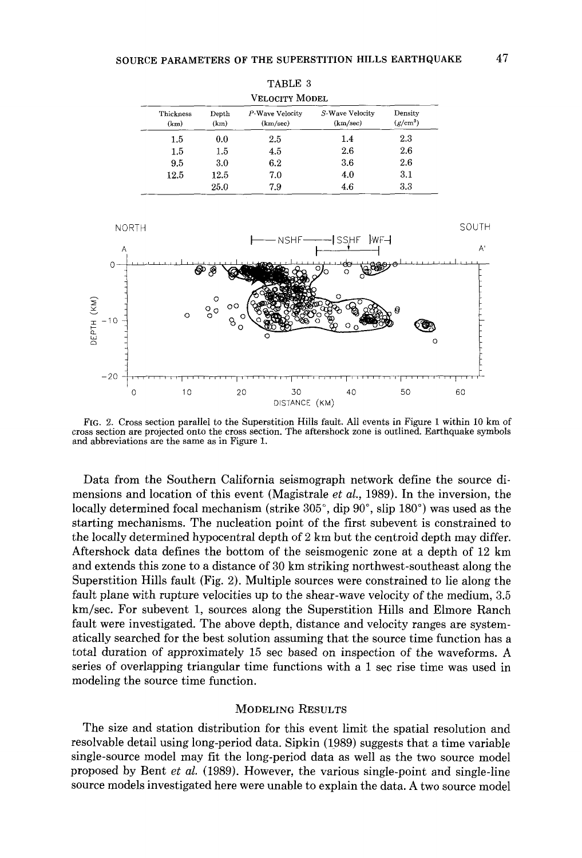| Velocity Model    |               |                             |                             |                       |  |
|-------------------|---------------|-----------------------------|-----------------------------|-----------------------|--|
| Thickness<br>(km) | Depth<br>(km) | P-Wave Velocity<br>(km/sec) | S-Wave Velocity<br>(km/sec) | Density<br>$(g/cm^3)$ |  |
| 1.5               | 0.0           | 2.5                         | 1.4                         | 2.3                   |  |
| 1.5               | 1.5           | 4.5                         | 2.6                         | 2.6                   |  |
| 9.5               | 3.0           | 6.2                         | 3.6                         | 2.6                   |  |
| 12.5              | 12.5          | 7.0                         | 4.0                         | 31                    |  |
|                   | 25.0          | 7.9                         | 4.6                         | 3.3                   |  |



FIG. 2. Cross section parallel to the Superstition Hills fault. All events in Figure 1 within 10 km of cross section are projected onto the cross section. The aftershock zone is outlined. Earthquake symbols and abbreviations are the same as in Figure 1.

Data from the Southern California seismograph network define the source dimensions and location of this event (Magistrale *et al.,* 1989). In the inversion, the locally determined focal mechanism (strike 305°, dip 90°, slip 180°) was used as the starting mechanisms. The nucleation point of the first subevent is constrained to the locally determined hypocentral depth of 2 km but the centroid depth may differ. Aftershock data defines the bottom of the seismogenic zone at a depth of 12 km and extends this zone to a distance of 30 km striking northwest-southeast along the Superstition Hills fault (Fig. 2). Multiple sources were constrained to lie along the fault plane with rupture velocities up to the shear-wave velocity of the medium, 3.5 km/sec. For subevent 1, sources along the Superstition Hills and Elmore Ranch fault were investigated. The above depth, distance and velocity ranges are systematically searched for the best solution assuming that the source time function has a total duration of approximately 15 sec based on inspection of the waveforms. A series of overlapping triangular time functions with a 1 sec rise time was used in modeling the source time function.

### MODELING RESULTS

The size and station distribution for this event limit the spatial resolution and resolvable detail using long-period data. Sipkin (1989) suggests that a time variable single-source model may fit the long-period data as well as the two source model proposed by Bent *et al.* (1989). However, the various single-point and single-line source models investigated here were unable to explain the data. A two source model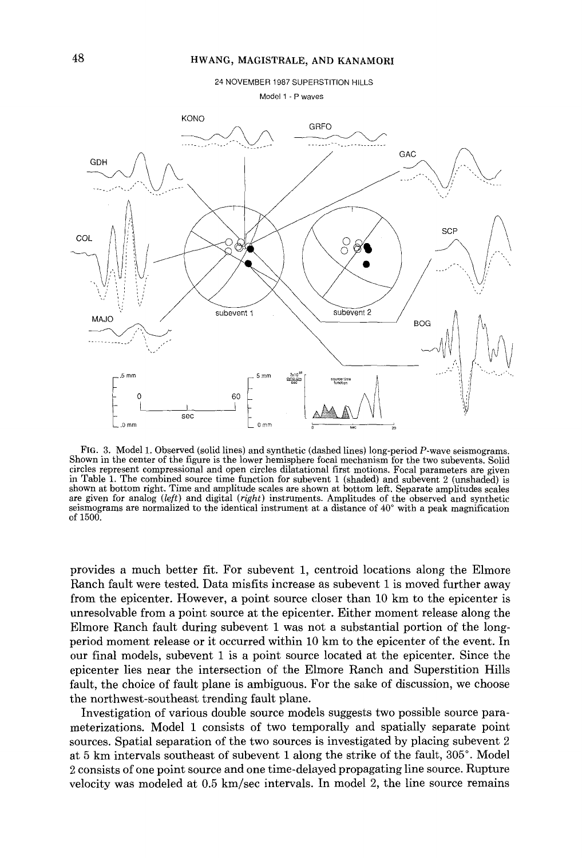

Model 1 - P waves



FIG. 3. Model 1. Observed (solid lines) and synthetic (dashed lines) long-period P-wave seismograms. Shown in the center of the figure is the lower hemisphere focal mechanism for the two subevents. Solid circles represent compressional and open circles dilatational first motions. Focal parameters are given in Table 1. The combined source time function for subevent 1 (shaded) and subevent 2 (unshaded) is shown at bottom right. Time and amplitude scales are shown at bottom left. Separate amplitudes scales are given for analog (left) and digital (right) instruments. Amplitudes of the observed and synthetic seismograms are normalized to the identical instrument at a distance of 40° with a peak magnification of 1500.

provides a much better fit. For subevent 1, centroid locations along the Elmore Ranch fault were tested. Data misfits increase as subevent 1 is moved further away from the epicenter. However, a point source closer than 10 km to the epicenter is unresolvable from a point source at the epicenter. Either moment release along the Elmore Ranch fault during subevent 1 was not a substantial portion of the longperiod moment release or it occurred within 10 km to the epicenter of the event. In our final models, subevent 1 is a point source located at the epicenter. Since the epicenter lies near the intersection of the Elmore Ranch and Superstition Hills fault, the choice of fault plane is ambiguous. For the sake of discussion, we choose the northwest-southeast trending fault plane.

Investigation of various double source models suggests two possible source parameterizations. Model 1 consists of two temporally and spatially separate point sources. Spatial separation of the two sources is investigated by placing subevent 2 at 5 km intervals southeast of subevent 1 along the strike of the fault, 305°. Model 2 consists of one point source and one time-delayed propagating line source. Rupture velocity was modeled at 0.5 km/sec intervals. In model 2, the line source remains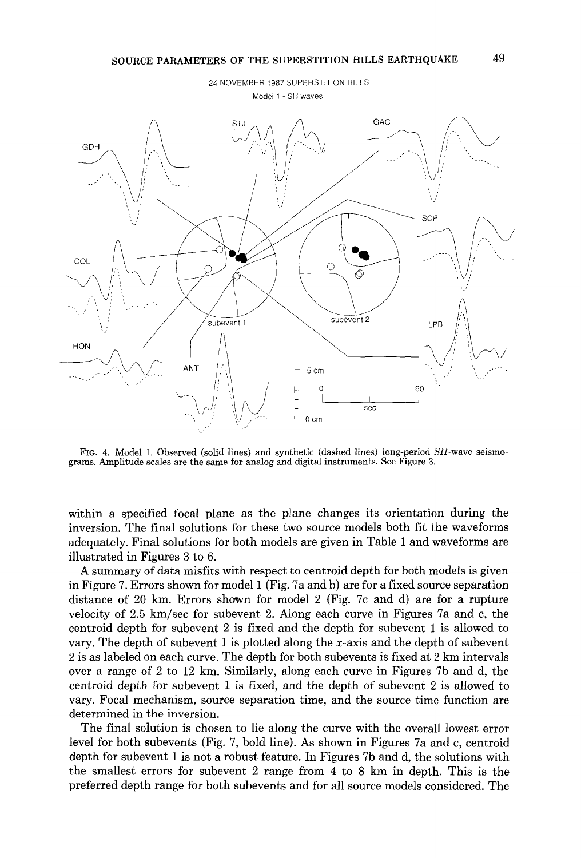

FIG. 4. Model 1. Observed (solid lines) and synthetic (dashed lines) long-period *SH-wave* seismograms. Amplitude scales are the same for analog and digital instruments. See Figure 3.

within a specified focal plane as the plane changes its orientation during the inversion. The final solutions for these two source models both fit the waveforms adequately. Final solutions for both models are given in Table 1 and waveforms are illustrated in Figures 3 to 6.

A summary of data misfits with respect to centroid depth for both models is given in Figure 7. Errors shown for model 1 (Fig. 7a and b) are for a fixed source separation distance of 20 km. Errors shown for model 2 (Fig. 7c and d) are for a rupture velocity of 2.5 km/sec for subevent 2. Along each curve in Figures 7a and c, the centroid depth for subevent 2 is fixed and the depth for subevent 1 is allowed to vary. The depth of subevent 1 is plotted along the x-axis and the depth of subevent 2 is as labeled on each curve. The depth for both subevents is fixed at 2 km intervals over a range of 2 to 12 km. Similarly, along each curve in Figures 7b and d, the centroid depth for subevent 1 is fixed, and the depth of subevent 2 is allowed to vary. Focal mechanism, source separation time, and the source time function are determined in the inversion.

The final solution is chosen to lie along the curve with the overall lowest error level for both subevents (Fig. 7, bold line). As shown in Figures 7a and c, centroid depth for subevent 1 is not a robust feature. In Figures 7b and d, the solutions with the smallest errors for subevent 2 range from 4 to 8 km in depth. This is the preferred depth range for both subevents and for all source models considered. The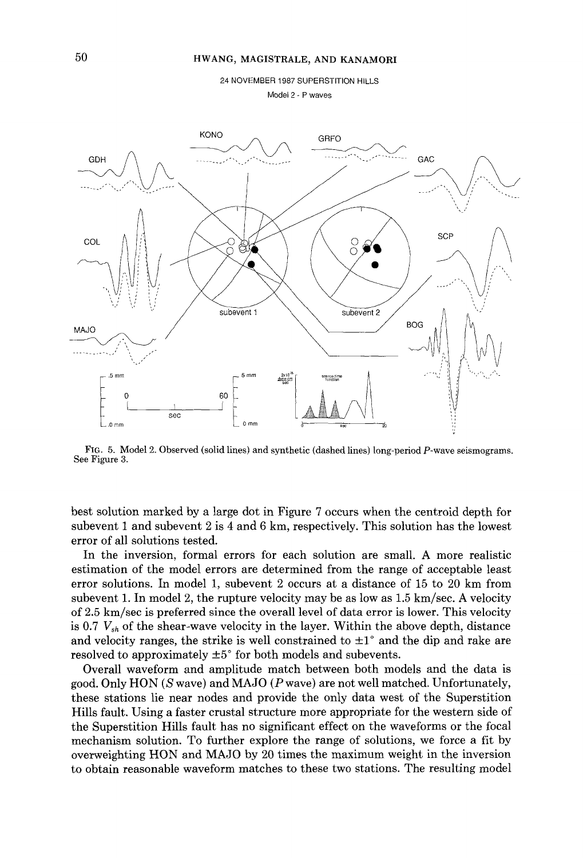24 NOVEMBER 1987 SUPERSTITION HILLS

Model 2 - P waves



FIG. 5. Model 2. Observed (solid lines) and synthetic (dashed lines) long-period P-wave seismograms. See Figure 3.

best solution marked by a large dot in Figure 7 occurs when the centroid depth for subevent 1 and subevent 2 is 4 and 6 km, respectively. This solution has the lowest error of all solutions tested.

In the inversion, formal errors for each solution are small. A more realistic estimation of the model errors are determined from the range of acceptable least error solutions. In model 1, subevent 2 occurs at a distance of 15 to 20 km from subevent 1. In model 2, the rupture velocity may be as low as  $1.5 \text{ km/sec}$ . A velocity of 2.5 km/sec is preferred since the overall level of data error is lower. This velocity is 0.7 *Vsh* of the shear-wave velocity in the layer. Within the above depth, distance and velocity ranges, the strike is well constrained to  $\pm 1^{\circ}$  and the dip and rake are resolved to approximately  $\pm 5^{\circ}$  for both models and subevents.

Overall waveform and amplitude match between both models and the data is good. Only HON (S wave) and MAJO (Pwave) are not well matched. Unfortunately, these stations lie near nodes and provide the only data west of the Superstition Hills fault. Using a faster crustal structure more appropriate for the western side of the Superstition Hills fault has no significant effect on the waveforms or the focal mechanism solution. To further explore the range of solutions, we force a fit by overweighting HON and MAJO by 20 times the maximum weight in the inversion to obtain reasonable waveform matches to these two stations. The resulting model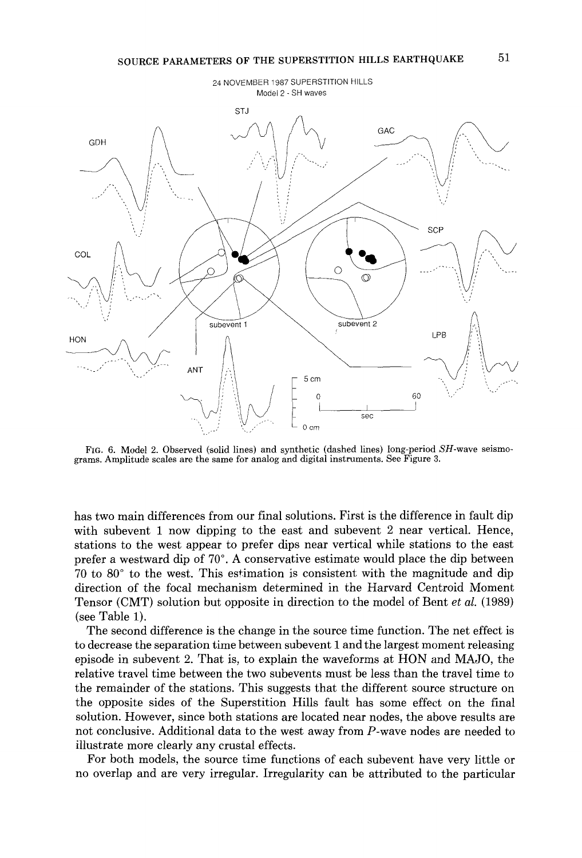# SOURCE PARAMETERS OF THE SUPERSTITION HILLS EARTHQUAKE 51



FrG. 6. Model 2. Observed (solid lines) and synthetic (dashed lines) long-period SH-wave seismograms. Amplitude scales are the same for analog and digital instruments. See Figure 3.

has two main differences from our final solutions. First is the difference in fault dip with subevent 1 now dipping to the east and subevent 2 near vertical. Hence, stations to the west appear to prefer dips near vertical while stations to the east prefer a westward dip of 70°. A conservative estimate would place the dip between 70 to 80° to the west. This estimation is consistent with the magnitude and dip direction of the focal mechanism determined in the Harvard Centroid Moment Tensor (CMT) solution but opposite in direction to the model of Bent *et al.* (1989) (see Table 1).

The second difference is the change in the source time function. The net effect is to decrease the separation time between subevent 1 and the largest moment releasing episode in subevent 2. That is, to explain the waveforms at HON and MAJO, the relative travel time between the two subevents must be less than the travel time to the remainder of the stations. This suggests that the different source structure on the opposite sides of the Superstition Hills fault has some effect on the final solution. However, since both stations are located near nodes, the above results are not conclusive. Additional data to the west away from P-wave nodes are needed to illustrate more clearly any crustal effects.

For both models, the source time functions of each subevent have very little or no overlap and are very irregular. Irregularity can be attributed to the particular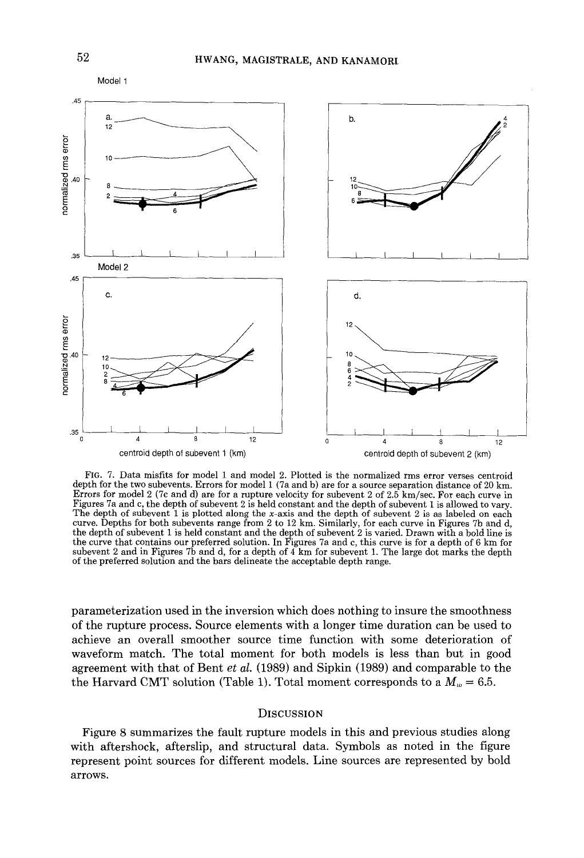

FIG. 7. Data misfits for model 1 and model 2. Plotted is the normalized rms error verses centroid depth for the two subevents. Errors for model 1 (7a and b) are for a source separation distance of 20 km. Errors for model 2 (7c and d) are for a rupture velocity for subevent 2 of 2.5 km/sec. For each curve in Figures 7a and c, the depth of subevent 2 is held constant and the depth of subevent 1 is allowed to vary. The depth of subevent 1 is plotted along the x-axis and the depth of subevent 2 is as labeled on each curve. Depths for both subevents range from 2 to 12 km. Similarly, for each curve in Figures 7b and d, the depth of subevent 1 is held constant and the depth of subevent 2 is varied. Drawn with a bold line is the curve that contains our preferred solution. In Figures 7a and c, this curve is for a depth of 6 km for subevent 2 and in Figures 7b and d, for a depth of  $4 \text{ km}$  for subevent 1. The large dot marks the depth of the preferred solution and the bars delineate the acceptable depth range.

parameterization used in the inversion which does nothing to insure the smoothness of the rupture process. Source elements with a longer time duration can be used to achieve an overall smoother source time function with some deterioration of waveform match. The total moment for both models is less than but in good agreement with that of Bent *et al.* (1989) and Sipkin (1989) and comparable to the the Harvard CMT solution (Table 1). Total moment corresponds to a  $M_w = 6.5$ .

#### **DISCUSSION**

Figure 8 summarizes the fault rupture models in this and previous studies along with aftershock, afterslip, and structural data. Symbols as noted in the figure represent point sources for different models. Line sources are represented by bold arrows.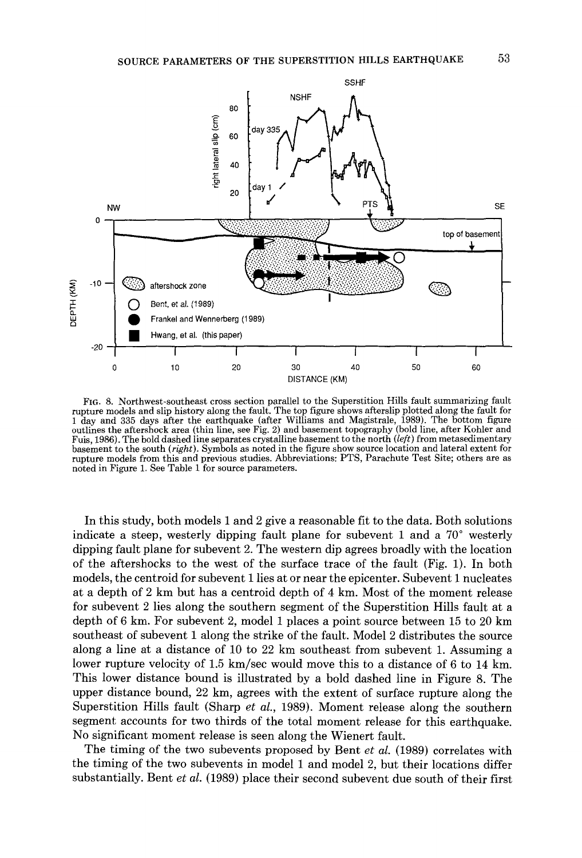

FIG. 8. Northwest-southeast cross section parallel to the Superstition Hills fault summarizing fault rupture models and slip history along the fault. The top figure shows afterslip plotted along the fault for 1 day and 335 days after the earthquake (after Williams and Magistrale, 1989). The bottom figure outlines the aftershock area (thin line, see Fig. 2) and basement topography (bold line, after Kohler and Fuis, 1986). The bold dashed line separates crystalline basement to the north *(left)* from metasedimentary basement to the south (right). Symbols as noted in the figure show source location and lateral extent for rupture models from this and previous studies. Abbreviations: PTS, Parachute Test Site; others are as noted in Figure 1. See Table 1 for source parameters.

In this study, both models 1 and 2 give a reasonable fit to the data. Both solutions indicate a steep, westerly dipping fault plane for subevent 1 and a 70° westerly dipping fault plane for subevent 2. The western dip agrees broadly with the location of the aftershocks to the west of the surface trace of the fault (Fig. 1). In both models, the centroid for subevent 1lies at or near the epicenter. Subevent 1 nucleates at a depth of 2 km but has a centroid depth of 4 km. Most of the moment release for subevent 2 lies along the southern segment of the Superstition Hills fault at a depth of 6 km. For subevent 2, model 1 places a point source between 15 to 20 km southeast of subevent 1 along the strike of the fault. Model 2 distributes the source along a line at a distance of 10 to 22 km southeast from subevent 1. Assuming a lower rupture velocity of 1.5 km/sec would move this to a distance of 6 to 14 km. This lower distance bound is illustrated by a bold dashed line in Figure 8. The upper distance bound, 22 km, agrees with the extent of surface rupture along the Superstition Hills fault (Sharp *et al.,* 1989). Moment release along the southern segment accounts for two thirds of the total moment release for this earthquake. No significant moment release is seen along the Wienert fault.

The timing of the two subevents proposed by Bent *et al.* (1989) correlates with the timing of the two subevents in model 1 and model 2, but their locations differ substantially. Bent *et al.* (1989) place their second subevent due south of their first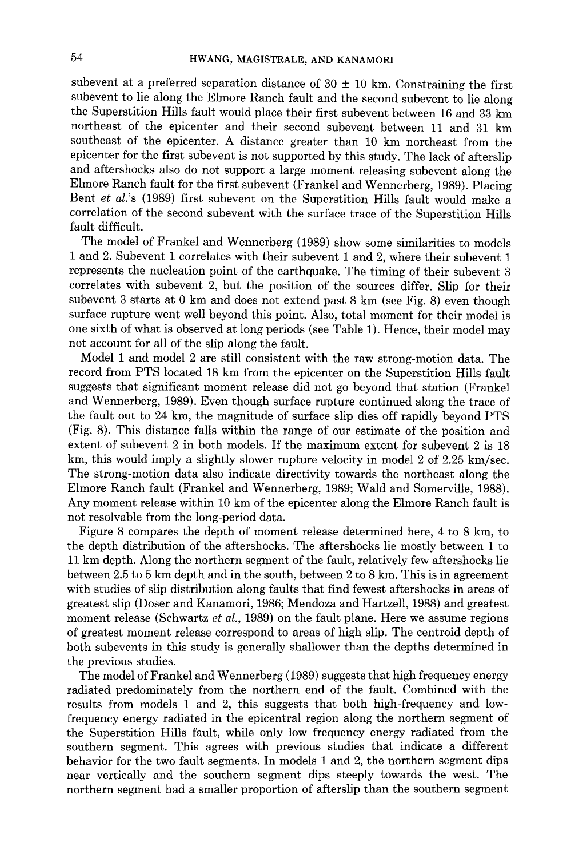subevent at a preferred separation distance of  $30 \pm 10$  km. Constraining the first subevent to lie along the Elmore Ranch fault and the second subevent to lie along the Superstition Hills fault would place their first subevent between 16 and 33 km northeast of the epicenter and their second subevent between 11 and 31 km southeast of the epicenter. A distance greater than 10 km northeast from the epicenter for the first subevent is not supported by this study. The lack of afterslip and aftershocks also do not support a large moment releasing subevent along the Elmore Ranch fault for the first subevent (Frankel and Wennerberg, 1989). Placing Bent *et al.'s* (1989) first subevent on the Superstition Hills fault would make a correlation of the second subevent with the surface trace of the Superstition Hills fault difficult.

The model of Frankel and Wennerberg (1989) show some similarities to models 1 and 2. Subevent 1 correlates with their subevent 1 and 2, where their subevent 1 represents the nucleation point of the earthquake. The timing of their subevent 3 correlates with subevent 2, but the position of the sources differ. Slip for their subevent 3 starts at 0 km and does not extend past 8 km (see Fig. 8) even though surface rupture went well beyond this point. Also, total moment for their model is one sixth of what is observed at long periods (see Table 1). Hence, their model may not account for all of the slip along the fault.

Model 1 and model 2 are still consistent with the raw strong-motion data. The record from PTS located 18 km from the epicenter on the Superstition Hills fault suggests that significant moment release did not go beyond that station (Frankel and Wennerberg, 1989). Even though surface rupture continued along the trace of the fault out to 24 km, the magnitude of surface slip dies off rapidly beyond PTS (Fig. 8). This distance falls within the range of our estimate of the position and extent of subevent 2 in both models. If the maximum extent for subevent 2 is 18 km, this would imply a slightly slower rupture velocity in model 2 of 2.25 km/sec. The strong-motion data also indicate directivity towards the northeast along the Elmore Ranch fault (Frankel and Wennerberg, 1989; Wald and Somerville, 1988). Any moment release within 10 km of the epicenter along the Elmore Ranch fault is not resolvable from the long-period data.

Figure 8 compares the depth of moment release determined here, 4 to 8 km, to the depth distribution of the aftershocks. The aftershocks lie mostly between 1 to 11 km depth. Along the northern segment of the fault, relatively few aftershocks lie between 2.5 to 5 km depth and in the south, between 2 to 8 km. This is in agreement with studies of slip distribution along faults that find fewest aftershocks in areas of greatest slip (Doser and Kanamori, 1986; Mendoza and Hartzell, 1988) and greatest moment release (Schwartz *et al.,* 1989) on the fault plane. Here we assume regions of greatest moment release correspond to areas of high slip. The centroid depth of both subevents in this study is generally shallower than the depths determined in the previous studies.

The model of Frankel and Wennerberg (1989) suggests that high frequency energy radiated predominately from the northern end of the fault. Combined with the results from models 1 and 2, this suggests that both high-frequency and lowfrequency energy radiated in the epicentral region along the northern segment of the Superstition Hills fault, while only low frequency energy radiated from the southern segment. This agrees with previous studies that indicate a different behavior for the two fault segments. In models 1 and 2, the northern segment dips near vertically and the southern segment dips steeply towards the west. The northern segment had a smaller proportion of afterslip than the southern segment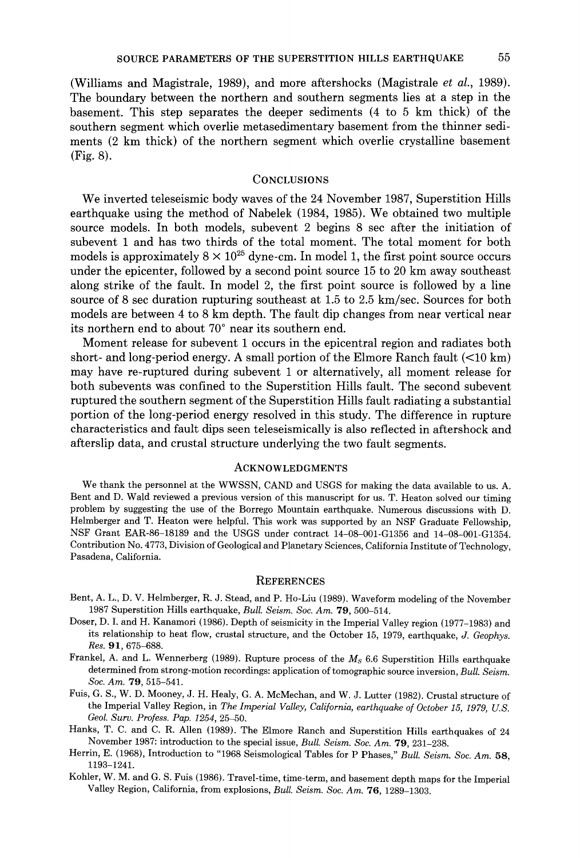(Williams and Magistrale, 1989), and more aftershocks (Magistrale *et al.,* 1989). The boundary between the northern and southern segments lies at a step in the basement. This step separates the deeper sediments (4 to 5 km thick) of the southern segment which overlie metasedimentary basement from the thinner sediments (2 km thick) of the northern segment which overlie crystalline basement (Fig. 8).

### **CONCLUSIONS**

We inverted teleseismic body waves of the 24 November 1987, Superstition Hills earthquake using the method of Nabelek (1984, 1985). We obtained two multiple source models. In both models, subevent 2 begins 8 sec after the initiation of subevent 1 and has two thirds of the total moment. The total moment for both models is approximately  $8 \times 10^{25}$  dyne-cm. In model 1, the first point source occurs under the epicenter, followed by a second point source 15 to 20 km away southeast along strike of the fault. In model 2, the first point source is followed by a line source of 8 sec duration rupturing southeast at 1.5 to 2.5 km/sec. Sources for both models are between 4 to 8 km depth. The fault dip changes from near vertical near its northern end to about 70° near its southern end.

Moment release for subevent 1 occurs in the epicentral region and radiates both short- and long-period energy. A small portion of the Elmore Ranch fault  $(<10 \text{ km})$ may have re-ruptured during subevent 1 or alternatively, all moment release for both subevents was confined to the Superstition Hills fault. The second subevent ruptured the southern segment of the Superstition Hills fault radiating a substantial portion of the long-period energy resolved in this study. The difference in rupture characteristics and fault dips seen teleseismically is also reflected in aftershock and afterslip data, and crustal structure underlying the two fault segments.

### ACKNOWLEDGMENTS

We thank the personnel at the WWSSN, CAND and USGS for making the data available to us. A. Bent and D. Wald reviewed a previous version of this manuscript for us. T. Heaton solved our timing problem by suggesting the use of the Borrego Mountain earthquake. Numerous discussions with D. Heimberger and T. Heaton were helpful. This work was supported by an NSF Graduate Fellowship, NSF Grant EAR-86-18189 and the USGS under contract 14-08-001-G1356 and 14-08-001-G1354. Contribution No. 4 773, Division of Geological and Planetary Sciences, California Institute of Technology, Pasadena, California.

#### **REFERENCES**

- Bent, A. L., D. V. Heimberger, R. J. Stead, and P. Ho-Liu (1989). Waveform modeling of the November 1987 Superstition Hills earthquake, *Bull. Seism. Soc. Am.* 79, 500-514.
- Doser, D. I. and H. Kanamori (1986). Depth of seismicity in the Imperial Valley region (1977-1983) and its relationship to heat flow, crustal structure, and the October 15, 1979, earthquake, *J. Geophys. Res.* 91, 675-688.
- Frankel, A. and L. Wennerberg (1989). Rupture process of the *Ms* 6.6 Superstition Hills earthquake determined from strong-motion recordings: application of tomographic source inversion, *Bull. Seism. Soc. Am.* 79, 515-541.
- Fuis, G. S., W. D. Mooney, J. H. Healy, G. A. McMechan, and W. J. Lutter (1982). Crustal structure of the Imperial Valley Region, in *The Imperial Valley, California, earthquake of October 15, 1979, U.S. Geol. Surv. Profess. Pap. 1254,* 25-50.
- Hanks, T. C. and C. R. Allen (1989). The Elmore Ranch and Superstition Hills earthquakes of 24 November 1987: introduction to the special issue, *Bull. Seism. Soc. Am.* 79, 231-238.
- Herrin, E. (1968), Introduction to "1968 Seismological Tables for P Phases," *Bull. Seism. Soc. Am.* 58, 1193-1241.
- Kohler, W. M. and G. S. Fuis (1986). Travel-time, time-term, and basement depth maps for the Imperial Valley Region, California, from explosions, *Bull. Seism. Soc. Am.* 76, 1289-1303.